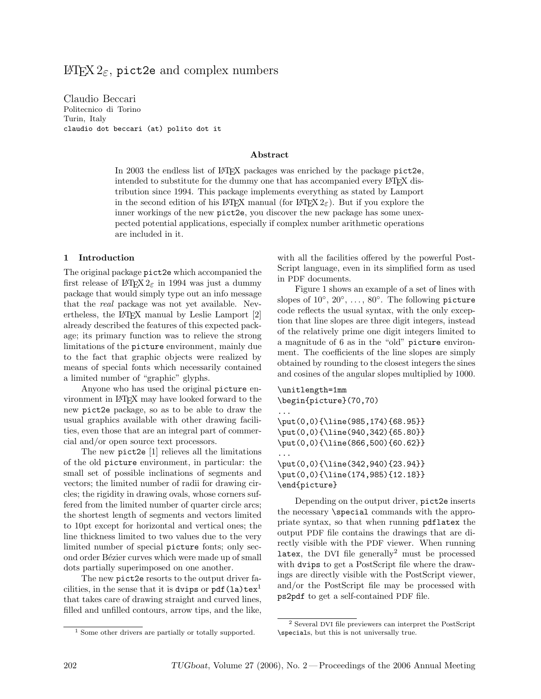# $\text{Lipx } 2_{\epsilon}$ , pict2e and complex numbers

Claudio Beccari Politecnico di Torino Turin, Italy claudio dot beccari (at) polito dot it

### Abstract

In 2003 the endless list of  $\Delta F$ <sub>EX</sub> packages was enriched by the package pict2e, intended to substitute for the dummy one that has accompanied every LATEX distribution since 1994. This package implements everything as stated by Lamport in the second edition of his LATEX manual (for LATEX  $2\epsilon$ ). But if you explore the inner workings of the new pict2e, you discover the new package has some unexpected potential applications, especially if complex number arithmetic operations are included in it.

### 1 Introduction

The original package pict2e which accompanied the first release of LAT<sub>E</sub>X 2<sub> $\varepsilon$ </sub> in 1994 was just a dummy package that would simply type out an info message that the real package was not yet available. Nevertheless, the L<sup>AT</sup>EX manual by Leslie Lamport [2] already described the features of this expected package; its primary function was to relieve the strong limitations of the picture environment, mainly due to the fact that graphic objects were realized by means of special fonts which necessarily contained a limited number of "graphic" glyphs.

Anyone who has used the original picture environment in LATEX may have looked forward to the new pict2e package, so as to be able to draw the usual graphics available with other drawing facilities, even those that are an integral part of commercial and/or open source text processors.

The new pict2e [1] relieves all the limitations of the old picture environment, in particular: the small set of possible inclinations of segments and vectors; the limited number of radii for drawing circles; the rigidity in drawing ovals, whose corners suffered from the limited number of quarter circle arcs; the shortest length of segments and vectors limited to 10pt except for horizontal and vertical ones; the line thickness limited to two values due to the very limited number of special picture fonts; only second order Bézier curves which were made up of small dots partially superimposed on one another.

The new pict2e resorts to the output driver facilities, in the sense that it is dvips or  $pdf(la)text^{1}$ that takes care of drawing straight and curved lines, filled and unfilled contours, arrow tips, and the like, with all the facilities offered by the powerful Post-Script language, even in its simplified form as used in PDF documents.

Figure 1 shows an example of a set of lines with slopes of  $10^{\circ}, 20^{\circ}, \ldots, 80^{\circ}$ . The following picture code reflects the usual syntax, with the only exception that line slopes are three digit integers, instead of the relatively prime one digit integers limited to a magnitude of 6 as in the "old" picture environment. The coefficients of the line slopes are simply obtained by rounding to the closest integers the sines and cosines of the angular slopes multiplied by 1000.

```
\unitlength=1mm
\begin{picture}(70,70)
...
\put(0,0){\line(985,174){68.95}}
\put(0,0){\line(940,342){65.80}}
\put(0,0){\line(866,500){60.62}}
...
\put(0,0){\line(342,940){23.94}}
\put(0,0){\line(174,985){12.18}}
\end{picture}
```
Depending on the output driver, pict2e inserts the necessary \special commands with the appropriate syntax, so that when running pdflatex the output PDF file contains the drawings that are directly visible with the PDF viewer. When running latex, the DVI file generally<sup>2</sup> must be processed with dvips to get a PostScript file where the drawings are directly visible with the PostScript viewer, and/or the PostScript file may be processed with ps2pdf to get a self-contained PDF file.

<sup>1</sup> Some other drivers are partially or totally supported.

<sup>2</sup> Several DVI file previewers can interpret the PostScript \specials, but this is not universally true.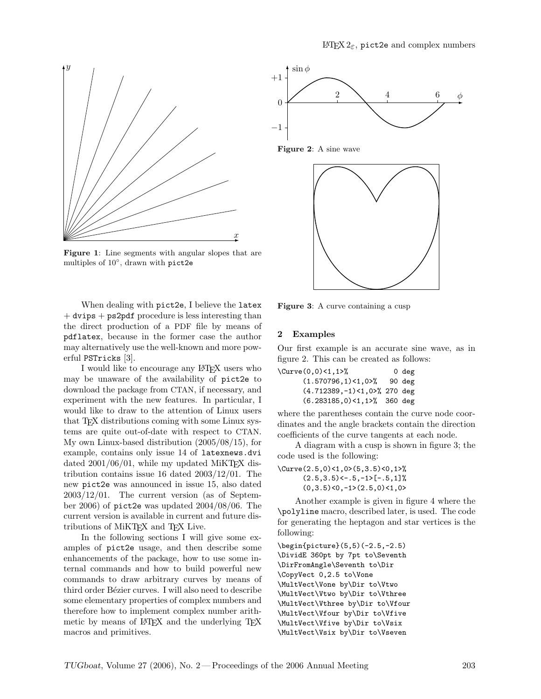

Figure 1: Line segments with angular slopes that are multiples of 10◦ , drawn with pict2e

When dealing with pict2e, I believe the latex  $+$  dvips  $+$  ps2pdf procedure is less interesting than the direct production of a PDF file by means of pdflatex, because in the former case the author may alternatively use the well-known and more powerful PSTricks [3].

I would like to encourage any LATEX users who may be unaware of the availability of pict2e to download the package from CTAN, if necessary, and experiment with the new features. In particular, I would like to draw to the attention of Linux users that T<sub>E</sub>X distributions coming with some Linux systems are quite out-of-date with respect to CTAN. My own Linux-based distribution (2005/08/15), for example, contains only issue 14 of latexnews.dvi dated  $2001/06/01$ , while my updated MiKT<sub>EX</sub> distribution contains issue 16 dated 2003/12/01. The new pict2e was announced in issue 15, also dated 2003/12/01. The current version (as of September 2006) of pict2e was updated 2004/08/06. The current version is available in current and future distributions of MiKT<sub>EX</sub> and T<sub>EX</sub> Live.

In the following sections I will give some examples of pict2e usage, and then describe some enhancements of the package, how to use some internal commands and how to build powerful new commands to draw arbitrary curves by means of third order Bézier curves. I will also need to describe some elementary properties of complex numbers and therefore how to implement complex number arithmetic by means of LAT<sub>EX</sub> and the underlying T<sub>EX</sub> macros and primitives.



Figure 2: A sine wave



Figure 3: A curve containing a cusp

### 2 Examples

Our first example is an accurate sine wave, as in figure 2. This can be created as follows:

| \Curve(0,0)<1,1>%                  | 0 deg |
|------------------------------------|-------|
| $(1.570796, 1)$ < 1, 0>% 90 deg    |       |
| $(4.712389, -1) < 1,00$ , 270 deg  |       |
| $(6.283185, 0) < 1, 1 >$ % 360 deg |       |

where the parentheses contain the curve node coordinates and the angle brackets contain the direction coefficients of the curve tangents at each node.

A diagram with a cusp is shown in figure 3; the code used is the following:

\Curve(2.5,0)<1,0>(5,3.5)<0,1>%  $(2.5,3.5)$  <  $-0.5, -1$  >  $[-0.5, 1]$  %  $(0,3.5)$ <0,-1> $(2.5,0)$ <1,0>

Another example is given in figure 4 where the \polyline macro, described later, is used. The code for generating the heptagon and star vertices is the following:

\begin{picture}(5,5)(-2.5,-2.5) \DividE 360pt by 7pt to\Seventh \DirFromAngle\Seventh to\Dir \CopyVect 0,2.5 to\Vone \MultVect\Vone by\Dir to\Vtwo \MultVect\Vtwo by\Dir to\Vthree \MultVect\Vthree by\Dir to\Vfour \MultVect\Vfour by\Dir to\Vfive \MultVect\Vfive by\Dir to\Vsix \MultVect\Vsix by\Dir to\Vseven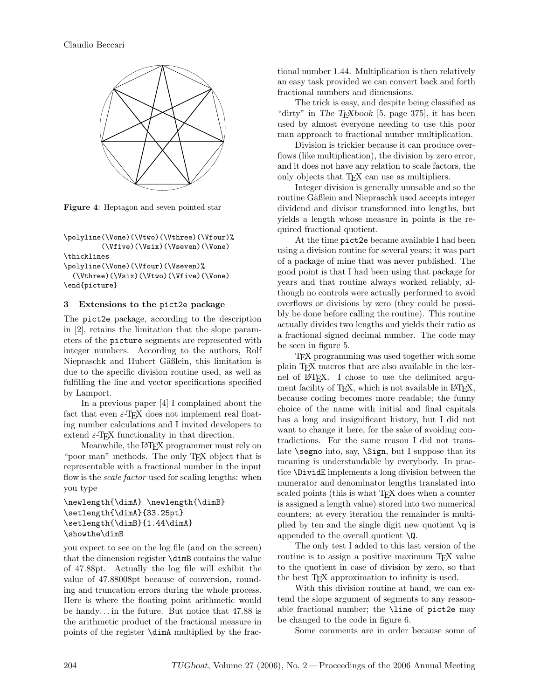

Figure 4: Heptagon and seven pointed star

\polyline(\Vone)(\Vtwo)(\Vthree)(\Vfour)% (\Vfive)(\Vsix)(\Vseven)(\Vone) \thicklines \polyline(\Vone)(\Vfour)(\Vseven)% (\Vthree)(\Vsix)(\Vtwo)(\Vfive)(\Vone) \end{picture}

### 3 Extensions to the pict2e package

The pict2e package, according to the description in [2], retains the limitation that the slope parameters of the picture segments are represented with integer numbers. According to the authors, Rolf Niepraschk and Hubert Gäßlein, this limitation is due to the specific division routine used, as well as fulfilling the line and vector specifications specified by Lamport.

In a previous paper [4] I complained about the fact that even  $\varepsilon$ -TFX does not implement real floating number calculations and I invited developers to extend  $\varepsilon$ -T<sub>F</sub>X functionality in that direction.

Meanwhile, the LATEX programmer must rely on "poor man" methods. The only T<sub>F</sub>X object that is representable with a fractional number in the input flow is the *scale factor* used for scaling lengths: when you type

```
\newlength{\dimA} \newlength{\dimB}
\setlength{\dimA}{33.25pt}
\setlength{\dimB}{1.44\dimA}
\showthe\dimB
```
you expect to see on the log file (and on the screen) that the dimension register \dimB contains the value of 47.88pt. Actually the log file will exhibit the value of 47.88008pt because of conversion, rounding and truncation errors during the whole process. Here is where the floating point arithmetic would be handy. . . in the future. But notice that 47.88 is the arithmetic product of the fractional measure in points of the register \dimA multiplied by the fractional number 1.44. Multiplication is then relatively an easy task provided we can convert back and forth fractional numbers and dimensions.

The trick is easy, and despite being classified as "dirty" in The T<sub>E</sub>Xbook [5, page 375], it has been used by almost everyone needing to use this poor man approach to fractional number multiplication.

Division is trickier because it can produce overflows (like multiplication), the division by zero error, and it does not have any relation to scale factors, the only objects that T<sub>EX</sub> can use as multipliers.

Integer division is generally unusable and so the routine Gäßlein and Niepraschk used accepts integer dividend and divisor transformed into lengths, but yields a length whose measure in points is the required fractional quotient.

At the time pict2e became available I had been using a division routine for several years; it was part of a package of mine that was never published. The good point is that I had been using that package for years and that routine always worked reliably, although no controls were actually performed to avoid overflows or divisions by zero (they could be possibly be done before calling the routine). This routine actually divides two lengths and yields their ratio as a fractional signed decimal number. The code may be seen in figure 5.

TEX programming was used together with some plain TEX macros that are also available in the kernel of LATEX. I chose to use the delimited argument facility of TEX, which is not available in LATEX, because coding becomes more readable; the funny choice of the name with initial and final capitals has a long and insignificant history, but I did not want to change it here, for the sake of avoiding contradictions. For the same reason I did not translate \segno into, say, \Sign, but I suppose that its meaning is understandable by everybody. In practice \DividE implements a long division between the numerator and denominator lengths translated into scaled points (this is what T<sub>EX</sub> does when a counter is assigned a length value) stored into two numerical counters; at every iteration the remainder is multiplied by ten and the single digit new quotient  $\qquad \qquad$  is appended to the overall quotient  $\mathcal{Q}$ .

The only test I added to this last version of the routine is to assign a positive maximum T<sub>EX</sub> value to the quotient in case of division by zero, so that the best TEX approximation to infinity is used.

With this division routine at hand, we can extend the slope argument of segments to any reasonable fractional number; the \line of pict2e may be changed to the code in figure 6.

Some comments are in order because some of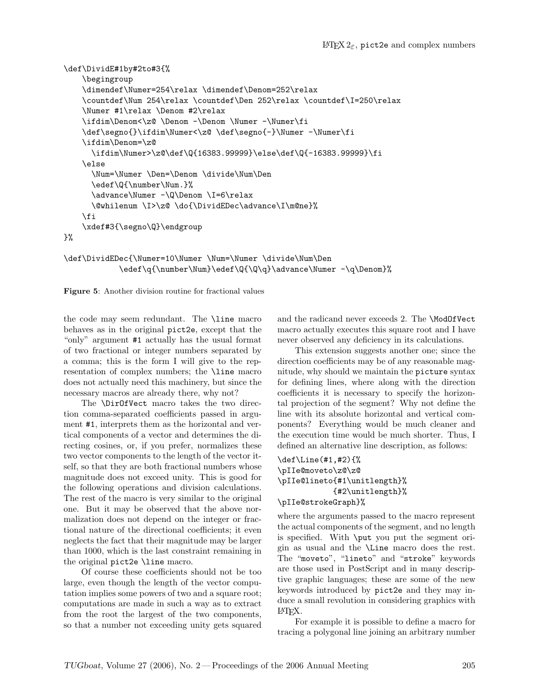```
\def\DividE#1by#2to#3{%
    \begingroup
    \dimendef\Numer=254\relax \dimendef\Denom=252\relax
    \countdef\Num 254\relax \countdef\Den 252\relax \countdef\I=250\relax
    \Numer #1\relax \Denom #2\relax
    \ifdim\Denom<\z@ \Denom -\Denom \Numer -\Numer\fi
    \def\segno{}\ifdim\Numer<\z@ \def\segno{-}\Numer -\Numer\fi
    \ifdim\Denom=\z@
      \ifdim\Numer>\z@\def\Q{16383.99999}\else\def\Q{-16383.99999}\fi
    \else
      \Num=\Numer \Den=\Denom \divide\Num\Den
      \edef\Q{\number\Num.}%
      \advance\Numer -\Q\Denom \I=6\relax
      \@whilenum \I>\z@ \do{\DividEDec\advance\I\m@ne}%
    \fi
    \xdef#3{\segno\Q}\endgroup
}%
```

```
\def\DividEDec{\Numer=10\Numer \Num=\Numer \divide\Num\Den
            \edef\q{\number\Num}\edef\Q{\Q\q}\advance\Numer -\q\Denom}%
```
Figure 5: Another division routine for fractional values

the code may seem redundant. The \line macro behaves as in the original pict2e, except that the "only" argument #1 actually has the usual format of two fractional or integer numbers separated by a comma; this is the form I will give to the representation of complex numbers; the \line macro does not actually need this machinery, but since the necessary macros are already there, why not?

The \DirOfVect macro takes the two direction comma-separated coefficients passed in argument #1, interprets them as the horizontal and vertical components of a vector and determines the directing cosines, or, if you prefer, normalizes these two vector components to the length of the vector itself, so that they are both fractional numbers whose magnitude does not exceed unity. This is good for the following operations and division calculations. The rest of the macro is very similar to the original one. But it may be observed that the above normalization does not depend on the integer or fractional nature of the directional coefficients; it even neglects the fact that their magnitude may be larger than 1000, which is the last constraint remaining in the original pict2e \line macro.

Of course these coefficients should not be too large, even though the length of the vector computation implies some powers of two and a square root; computations are made in such a way as to extract from the root the largest of the two components, so that a number not exceeding unity gets squared and the radicand never exceeds 2. The \ModOfVect macro actually executes this square root and I have never observed any deficiency in its calculations.

This extension suggests another one; since the direction coefficients may be of any reasonable magnitude, why should we maintain the picture syntax for defining lines, where along with the direction coefficients it is necessary to specify the horizontal projection of the segment? Why not define the line with its absolute horizontal and vertical components? Everything would be much cleaner and the execution time would be much shorter. Thus, I defined an alternative line description, as follows:

## \def\Line(#1,#2){% \pIIe@moveto\z@\z@ \pIIe@lineto{#1\unitlength}% {#2\unitlength}% \pIIe@strokeGraph}%

where the arguments passed to the macro represent the actual components of the segment, and no length is specified. With \put you put the segment origin as usual and the \Line macro does the rest. The "moveto", "lineto" and "stroke" keywords are those used in PostScript and in many descriptive graphic languages; these are some of the new keywords introduced by pict2e and they may induce a small revolution in considering graphics with LATEX.

For example it is possible to define a macro for tracing a polygonal line joining an arbitrary number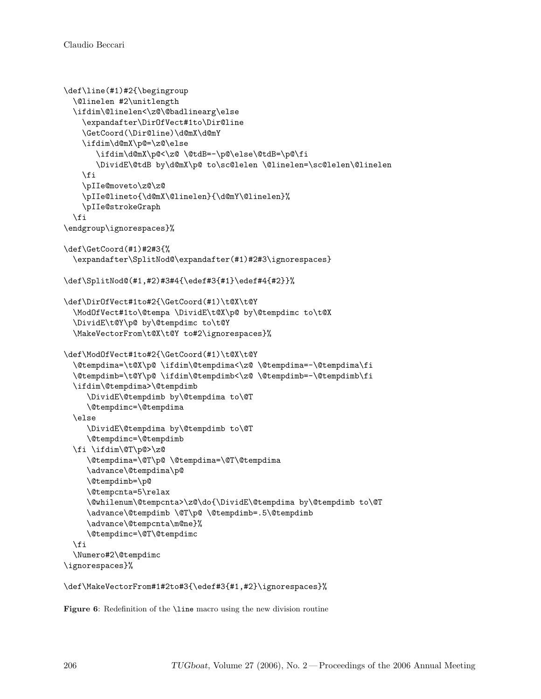```
\def\line(#1)#2{\begingroup
  \@linelen #2\unitlength
  \ifdim\@linelen<\z@\@badlinearg\else
    \expandafter\DirOfVect#1to\Dir@line
    \GetCoord(\Dir@line)\d@mX\d@mY
    \ifdim\d@mX\p@=\z@\else
       \ifdim\d@mX\p@<\z@ \@tdB=-\p@\else\@tdB=\p@\fi
       \DividE\@tdB by\d@mX\p@ to\sc@lelen \@linelen=\sc@lelen\@linelen
    \fi
    \pIIe@moveto\z@\z@
   \pIIe@lineto{\d@mX\@linelen}{\d@mY\@linelen}%
   \pIIe@strokeGraph
  \fi
\endgroup\ignorespaces}%
\def\GetCoord(#1)#2#3{%
  \expandafter\SplitNod@\expandafter(#1)#2#3\ignorespaces}
\def\SplitNod@(#1,#2)#3#4{\edef#3{#1}\edef#4{#2}}%
\def\DirOfVect#1to#2{\GetCoord(#1)\t@X\t@Y
  \ModOfVect#1to\@tempa \DividE\t@X\p@ by\@tempdimc to\t@X
  \DividE\t@Y\p@ by\@tempdimc to\t@Y
  \MakeVectorFrom\t@X\t@Y to#2\ignorespaces}%
\def\ModOfVect#1to#2{\GetCoord(#1)\t@X\t@Y
  \@tempdima=\t@X\p@ \ifdim\@tempdima<\z@ \@tempdima=-\@tempdima\fi
  \@tempdimb=\t@Y\p@ \ifdim\@tempdimb<\z@ \@tempdimb=-\@tempdimb\fi
  \ifdim\@tempdima>\@tempdimb
     \DividE\@tempdimb by\@tempdima to\@T
     \@tempdimc=\@tempdima
  \else
     \DividE\@tempdima by\@tempdimb to\@T
     \@tempdimc=\@tempdimb
  \fi \ifdim\@T\p@>\z@
     \@tempdima=\@T\p@ \@tempdima=\@T\@tempdima
     \advance\@tempdima\p@
     \@tempdimb=\p@
     \@tempcnta=5\relax
     \@whilenum\@tempcnta>\z@\do{\DividE\@tempdima by\@tempdimb to\@T
     \advance\@tempdimb \@T\p@ \@tempdimb=.5\@tempdimb
     \advance\@tempcnta\m@ne}%
     \@tempdimc=\@T\@tempdimc
  \fi
  \Numero#2\@tempdimc
\ignorespaces}%
```

```
\def\MakeVectorFrom#1#2to#3{\edef#3{#1,#2}\ignorespaces}%
```
Figure 6: Redefinition of the **\line** macro using the new division routine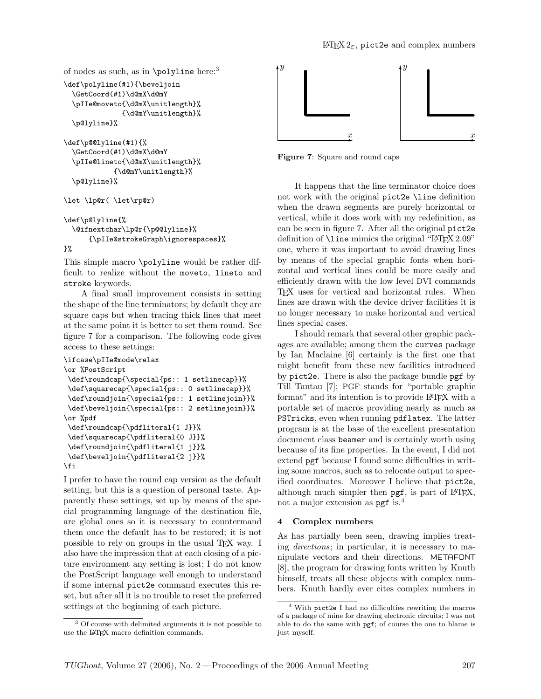```
of nodes as such, as in \pi.
\def\polyline(#1){\beveljoin
  \GetCoord(#1)\d@mX\d@mY
  \pIIe@moveto{\d@mX\unitlength}%
             {\d@mY\unitlength}%
  \p@lyline}%
\def\p@@lyline(#1){%
```

```
\GetCoord(#1)\d@mX\d@mY
\pIIe@lineto{\d@mX\unitlength}%
          {\d@mY\unitlength}%
\p@lyline}%
```

```
\let \lp@r( \let\rp@r)
```

```
\def\p@lyline{%
  \@ifnextchar\lp@r{\p@@lyline}%
      {\pIIe@strokeGraph\ignorespaces}%
}%
```
This simple macro \polyline would be rather difficult to realize without the moveto, lineto and stroke keywords.

A final small improvement consists in setting the shape of the line terminators; by default they are square caps but when tracing thick lines that meet at the same point it is better to set them round. See figure 7 for a comparison. The following code gives access to these settings:

```
\ifcase\pIIe@mode\relax
```

```
\or %PostScript
\def\roundcap{\special{ps:: 1 setlinecap}}%
\def\squarecap{\special{ps:: 0 setlinecap}}%
\def\roundjoin{\special{ps:: 1 setlinejoin}}%
\def\beveljoin{\special{ps:: 2 setlinejoin}}%
\or %pdf
\def\roundcap{\pdfliteral{1 J}}%
\def\squarecap{\pdfliteral{0 J}}%
\def\roundjoin{\pdfliteral{1 j}}%
\def\beveljoin{\pdfliteral{2 j}}%
\fi
```
I prefer to have the round cap version as the default setting, but this is a question of personal taste. Apparently these settings, set up by means of the special programming language of the destination file, are global ones so it is necessary to countermand them once the default has to be restored; it is not possible to rely on groups in the usual TEX way. I also have the impression that at each closing of a picture environment any setting is lost; I do not know the PostScript language well enough to understand if some internal pict2e command executes this reset, but after all it is no trouble to reset the preferred settings at the beginning of each picture.



Figure 7: Square and round caps

It happens that the line terminator choice does not work with the original pict2e \line definition when the drawn segments are purely horizontal or vertical, while it does work with my redefinition, as can be seen in figure 7. After all the original pict2e definition of **\line** mimics the original "LATEX 2.09" one, where it was important to avoid drawing lines by means of the special graphic fonts when horizontal and vertical lines could be more easily and efficiently drawn with the low level DVI commands T<sub>F</sub>X uses for vertical and horizontal rules. When lines are drawn with the device driver facilities it is no longer necessary to make horizontal and vertical lines special cases.

I should remark that several other graphic packages are available; among them the curves package by Ian Maclaine [6] certainly is the first one that might benefit from these new facilities introduced by pict2e. There is also the package bundle pgf by Till Tantau [7]; PGF stands for "portable graphic format" and its intention is to provide LAT<sub>EX</sub> with a portable set of macros providing nearly as much as PSTricks, even when running pdflatex. The latter program is at the base of the excellent presentation document class beamer and is certainly worth using because of its fine properties. In the event, I did not extend pgf because I found some difficulties in writing some macros, such as to relocate output to specified coordinates. Moreover I believe that pict2e, although much simpler then  $pgf$ , is part of  $LATEX$ , not a major extension as  $pgt$  is.<sup>4</sup>

## 4 Complex numbers

As has partially been seen, drawing implies treating directions; in particular, it is necessary to manipulate vectors and their directions. METAFONT [8], the program for drawing fonts written by Knuth himself, treats all these objects with complex numbers. Knuth hardly ever cites complex numbers in

<sup>3</sup> Of course with delimited arguments it is not possible to use the LAT<sub>F</sub>X macro definition commands.

<sup>4</sup> With pict2e I had no difficulties rewriting the macros of a package of mine for drawing electronic circuits; I was not able to do the same with pgf; of course the one to blame is just myself.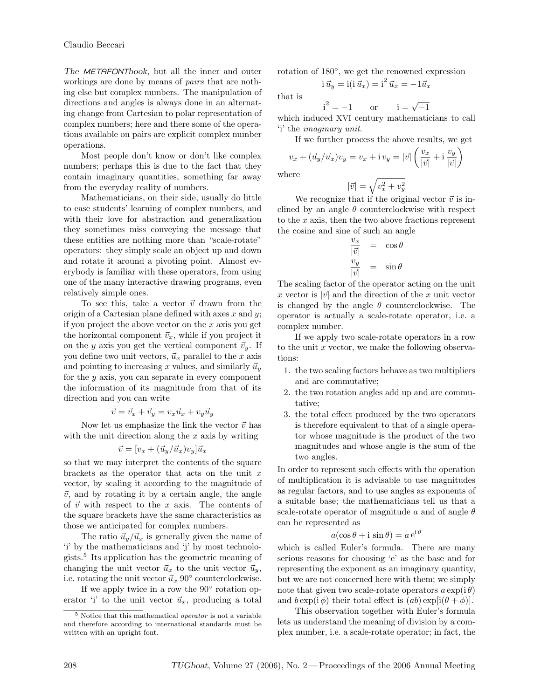The METAFONTbook, but all the inner and outer workings are done by means of pairs that are nothing else but complex numbers. The manipulation of directions and angles is always done in an alternating change from Cartesian to polar representation of complex numbers; here and there some of the operations available on pairs are explicit complex number operations.

Most people don't know or don't like complex numbers; perhaps this is due to the fact that they contain imaginary quantities, something far away from the everyday reality of numbers.

Mathematicians, on their side, usually do little to ease students' learning of complex numbers, and with their love for abstraction and generalization they sometimes miss conveying the message that these entities are nothing more than "scale-rotate" operators: they simply scale an object up and down and rotate it around a pivoting point. Almost everybody is familiar with these operators, from using one of the many interactive drawing programs, even relatively simple ones.

To see this, take a vector  $\vec{v}$  drawn from the origin of a Cartesian plane defined with axes  $x$  and  $y$ ; if you project the above vector on the  $x$  axis you get the horizontal component  $\vec{v}_x$ , while if you project it on the y axis you get the vertical component  $\vec{v}_y$ . If you define two unit vectors,  $\vec{u}_x$  parallel to the x axis and pointing to increasing x values, and similarly  $\vec{u}_u$ for the  $y$  axis, you can separate in every component the information of its magnitude from that of its direction and you can write

$$
\vec{v} = \vec{v}_x + \vec{v}_y = v_x \vec{u}_x + v_y \vec{u}_y
$$

Now let us emphasize the link the vector  $\vec{v}$  has with the unit direction along the  $x$  axis by writing

$$
\vec{v} = [v_x + (\vec{u}_y/\vec{u}_x)v_y]\vec{u}_x
$$

so that we may interpret the contents of the square brackets as the operator that acts on the unit  $x$ vector, by scaling it according to the magnitude of  $\vec{v}$ , and by rotating it by a certain angle, the angle of  $\vec{v}$  with respect to the x axis. The contents of the square brackets have the same characteristics as those we anticipated for complex numbers.

The ratio  $\vec{u}_y/\vec{u}_x$  is generally given the name of 'i' by the mathematicians and 'j' by most technologists.<sup>5</sup> Its application has the geometric meaning of changing the unit vector  $\vec{u}_x$  to the unit vector  $\vec{u}_y$ , i.e. rotating the unit vector  $\vec{u}_x$  90° counterclockwise.

If we apply twice in a row the 90<sup>°</sup> rotation operator 'i' to the unit vector  $\vec{u}_x$ , producing a total rotation of 180◦ , we get the renowned expression i  $\vec{u}_y = \text{i}(\text{i}\,\vec{u}_x) = \text{i}^2 \,\vec{u}_x = -1 \vec{u}_x$ 

that is

 $i^{2} = -1$  or  $i = \sqrt{-1}$ 

which induced XVI century mathematicians to call 'i' the imaginary unit.

If we further process the above results, we get

$$
v_x + (\vec{u}_y/\vec{u}_x)v_y = v_x + \mathbf{i} v_y = |\vec{v}| \left(\frac{v_x}{|\vec{v}|} + \mathbf{i} \frac{v_y}{|\vec{v}|}\right)
$$
  
where  

$$
|\vec{v}| = \sqrt{v_x^2 + v_y^2}
$$

We recognize that if the original vector  $\vec{v}$  is inclined by an angle  $\theta$  counterclockwise with respect to the  $x$  axis, then the two above fractions represent the cosine and sine of such an angle

$$
\frac{v_x}{|\vec{v}|} = \cos \theta
$$
  

$$
\frac{v_y}{|\vec{v}|} = \sin \theta
$$

The scaling factor of the operator acting on the unit x vector is  $|\vec{v}|$  and the direction of the x unit vector is changed by the angle  $\theta$  counterclockwise. The operator is actually a scale-rotate operator, i.e. a complex number.

If we apply two scale-rotate operators in a row to the unit x vector, we make the following observations:

- 1. the two scaling factors behave as two multipliers and are commutative;
- 2. the two rotation angles add up and are commutative;
- 3. the total effect produced by the two operators is therefore equivalent to that of a single operator whose magnitude is the product of the two magnitudes and whose angle is the sum of the two angles.

In order to represent such effects with the operation of multiplication it is advisable to use magnitudes as regular factors, and to use angles as exponents of a suitable base; the mathematicians tell us that a scale-rotate operator of magnitude a and of angle  $\theta$ can be represented as

$$
a(\cos\theta + i\sin\theta) = a e^{i\theta}
$$

which is called Euler's formula. There are many serious reasons for choosing 'e' as the base and for representing the exponent as an imaginary quantity, but we are not concerned here with them; we simply note that given two scale-rotate operators  $a \exp(i \theta)$ and  $b \exp(i \phi)$  their total effect is  $(ab) \exp[i(\theta + \phi)].$ 

This observation together with Euler's formula lets us understand the meaning of division by a complex number, i.e. a scale-rotate operator; in fact, the

<sup>5</sup> Notice that this mathematical operator is not a variable and therefore according to international standards must be written with an upright font.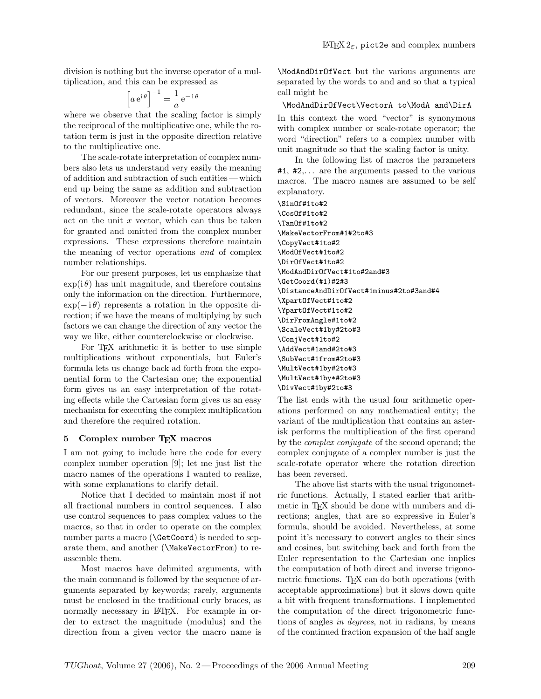division is nothing but the inverse operator of a multiplication, and this can be expressed as

$$
\left[a e^{i \theta}\right]^{-1} = \frac{1}{a} e^{-i \theta}
$$

where we observe that the scaling factor is simply the reciprocal of the multiplicative one, while the rotation term is just in the opposite direction relative to the multiplicative one.

The scale-rotate interpretation of complex numbers also lets us understand very easily the meaning of addition and subtraction of such entities — which end up being the same as addition and subtraction of vectors. Moreover the vector notation becomes redundant, since the scale-rotate operators always act on the unit  $x$  vector, which can thus be taken for granted and omitted from the complex number expressions. These expressions therefore maintain the meaning of vector operations and of complex number relationships.

For our present purposes, let us emphasize that  $\exp(i\theta)$  has unit magnitude, and therefore contains only the information on the direction. Furthermore,  $\exp(-i\theta)$  represents a rotation in the opposite direction; if we have the means of multiplying by such factors we can change the direction of any vector the way we like, either counterclockwise or clockwise.

For TEX arithmetic it is better to use simple multiplications without exponentials, but Euler's formula lets us change back ad forth from the exponential form to the Cartesian one; the exponential form gives us an easy interpretation of the rotating effects while the Cartesian form gives us an easy mechanism for executing the complex multiplication and therefore the required rotation.

#### 5 Complex number TEX macros

I am not going to include here the code for every complex number operation [9]; let me just list the macro names of the operations I wanted to realize, with some explanations to clarify detail.

Notice that I decided to maintain most if not all fractional numbers in control sequences. I also use control sequences to pass complex values to the macros, so that in order to operate on the complex number parts a macro (\GetCoord) is needed to separate them, and another (\MakeVectorFrom) to reassemble them.

Most macros have delimited arguments, with the main command is followed by the sequence of arguments separated by keywords; rarely, arguments must be enclosed in the traditional curly braces, as normally necessary in LATEX. For example in order to extract the magnitude (modulus) and the direction from a given vector the macro name is \ModAndDirOfVect but the various arguments are separated by the words to and and so that a typical call might be

#### \ModAndDirOfVect\VectorA to\ModA and\DirA

In this context the word "vector" is synonymous with complex number or scale-rotate operator; the word "direction" refers to a complex number with unit magnitude so that the scaling factor is unity.

In the following list of macros the parameters  $#1, #2,...$  are the arguments passed to the various macros. The macro names are assumed to be self explanatory.

\SinOf#1to#2 \CosOf#1to#2 \TanOf#1to#2 \MakeVectorFrom#1#2to#3 \CopyVect#1to#2 \ModOfVect#1to#2 \DirOfVect#1to#2 \ModAndDirOfVect#1to#2and#3 \GetCoord(#1)#2#3 \DistanceAndDirOfVect#1minus#2to#3and#4 \XpartOfVect#1to#2 \YpartOfVect#1to#2 \DirFromAngle#1to#2 \ScaleVect#1by#2to#3 \ConjVect#1to#2 \AddVect#1and#2to#3 \SubVect#1from#2to#3 \MultVect#1by#2to#3 \MultVect#1by\*#2to#3 \DivVect#1by#2to#3

The list ends with the usual four arithmetic operations performed on any mathematical entity; the variant of the multiplication that contains an asterisk performs the multiplication of the first operand by the complex conjugate of the second operand; the complex conjugate of a complex number is just the scale-rotate operator where the rotation direction has been reversed.

The above list starts with the usual trigonometric functions. Actually, I stated earlier that arithmetic in T<sub>E</sub>X should be done with numbers and directions; angles, that are so expressive in Euler's formula, should be avoided. Nevertheless, at some point it's necessary to convert angles to their sines and cosines, but switching back and forth from the Euler representation to the Cartesian one implies the computation of both direct and inverse trigonometric functions. T<sub>EX</sub> can do both operations (with acceptable approximations) but it slows down quite a bit with frequent transformations. I implemented the computation of the direct trigonometric functions of angles in degrees, not in radians, by means of the continued fraction expansion of the half angle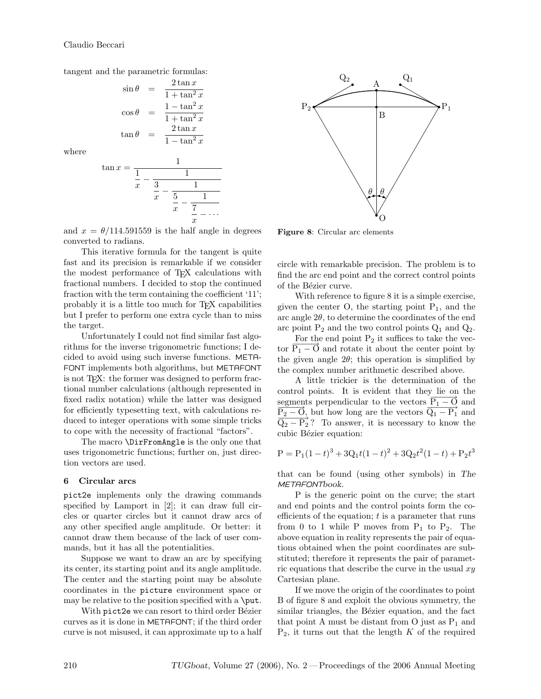tangent and the parametric formulas:

$$
\sin \theta = \frac{2 \tan x}{1 + \tan^2 x}
$$

$$
\cos \theta = \frac{1 - \tan^2 x}{1 + \tan^2 x}
$$

$$
\tan \theta = \frac{2 \tan x}{1 - \tan^2 x}
$$

where

$$
\tan x = \frac{1}{\frac{1}{x} - \frac{1}{\frac{3}{x} - \frac{1}{\frac{5}{x} - \frac{1}{\frac{7}{x} - \dots}}}}
$$

and  $x = \theta/114.591559$  is the half angle in degrees converted to radians.

This iterative formula for the tangent is quite fast and its precision is remarkable if we consider the modest performance of TEX calculations with fractional numbers. I decided to stop the continued fraction with the term containing the coefficient '11'; probably it is a little too much for TEX capabilities but I prefer to perform one extra cycle than to miss the target.

Unfortunately I could not find similar fast algorithms for the inverse trigonometric functions; I decided to avoid using such inverse functions. META-FONT implements both algorithms, but METAFONT is not TEX: the former was designed to perform fractional number calculations (although represented in fixed radix notation) while the latter was designed for efficiently typesetting text, with calculations reduced to integer operations with some simple tricks to cope with the necessity of fractional "factors".

The macro \DirFromAngle is the only one that uses trigonometric functions; further on, just direction vectors are used.

#### 6 Circular arcs

pict2e implements only the drawing commands specified by Lamport in [2]; it can draw full circles or quarter circles but it cannot draw arcs of any other specified angle amplitude. Or better: it cannot draw them because of the lack of user commands, but it has all the potentialities.

Suppose we want to draw an arc by specifying its center, its starting point and its angle amplitude. The center and the starting point may be absolute coordinates in the picture environment space or may be relative to the position specified with a  $\put$ .

With pict2e we can resort to third order Bézier curves as it is done in METAFONT; if the third order curve is not misused, it can approximate up to a half



Figure 8: Circular arc elements

circle with remarkable precision. The problem is to find the arc end point and the correct control points of the Bézier curve.

With reference to figure 8 it is a simple exercise, given the center O, the starting point  $P_1$ , and the arc angle  $2\theta$ , to determine the coordinates of the end arc point  $P_2$  and the two control points  $Q_1$  and  $Q_2$ .

For the end point  $P_2$  it suffices to take the vector  $\overline{P_1 - Q}$  and rotate it about the center point by the given angle  $2\theta$ ; this operation is simplified by the complex number arithmetic described above.

A little trickier is the determination of the control points. It is evident that they lie on the segments perpendicular to the vectors  $\overline{P_1 - Q}$  and  $\overrightarrow{P_2-O}$ , but how long are the vectors  $\overrightarrow{Q_1-P_1}$  and  $\overrightarrow{Q_2-P_2}$ ? To answer, it is necessary to know the cubic Bézier equation:

$$
P = P_1(1-t)^3 + 3Q_1t(1-t)^2 + 3Q_2t^2(1-t) + P_2t^3
$$

that can be found (using other symbols) in The METAFONTbook.

P is the generic point on the curve; the start and end points and the control points form the coefficients of the equation;  $t$  is a parameter that runs from 0 to 1 while P moves from  $P_1$  to  $P_2$ . The above equation in reality represents the pair of equations obtained when the point coordinates are substituted; therefore it represents the pair of parametric equations that describe the curve in the usual  $xy$ Cartesian plane.

If we move the origin of the coordinates to point B of figure 8 and exploit the obvious symmetry, the similar triangles, the Bézier equation, and the fact that point A must be distant from O just as  $P_1$  and  $P_2$ , it turns out that the length  $K$  of the required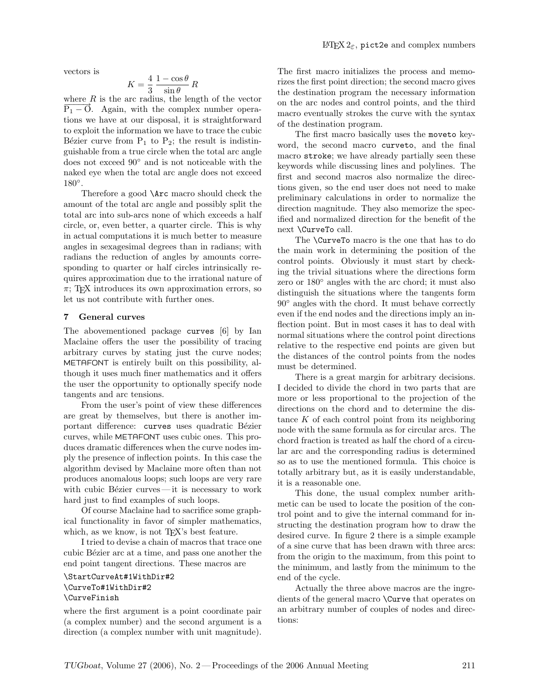vectors is

$$
K = \frac{4}{3} \frac{1 - \cos \theta}{\sin \theta} R
$$

where  $R$  is the arc radius, the length of the vector  $P_1 - O$ . Again, with the complex number operations we have at our disposal, it is straightforward to exploit the information we have to trace the cubic Bézier curve from  $P_1$  to  $P_2$ ; the result is indistinguishable from a true circle when the total arc angle does not exceed 90◦ and is not noticeable with the naked eye when the total arc angle does not exceed 180◦ .

Therefore a good \Arc macro should check the amount of the total arc angle and possibly split the total arc into sub-arcs none of which exceeds a half circle, or, even better, a quarter circle. This is why in actual computations it is much better to measure angles in sexagesimal degrees than in radians; with radians the reduction of angles by amounts corresponding to quarter or half circles intrinsically requires approximation due to the irrational nature of  $\pi$ ; T<sub>F</sub>X introduces its own approximation errors, so let us not contribute with further ones.

#### 7 General curves

The abovementioned package curves [6] by Ian Maclaine offers the user the possibility of tracing arbitrary curves by stating just the curve nodes; METAFONT is entirely built on this possibility, although it uses much finer mathematics and it offers the user the opportunity to optionally specify node tangents and arc tensions.

From the user's point of view these differences are great by themselves, but there is another important difference: curves uses quadratic Bézier curves, while METAFONT uses cubic ones. This produces dramatic differences when the curve nodes imply the presence of inflection points. In this case the algorithm devised by Maclaine more often than not produces anomalous loops; such loops are very rare with cubic Bézier curves  $-$  it is necessary to work hard just to find examples of such loops.

Of course Maclaine had to sacrifice some graphical functionality in favor of simpler mathematics, which, as we know, is not T<sub>F</sub>X's best feature.

I tried to devise a chain of macros that trace one cubic Bézier arc at a time, and pass one another the end point tangent directions. These macros are

### \StartCurveAt#1WithDir#2 \CurveTo#1WithDir#2 \CurveFinish

where the first argument is a point coordinate pair (a complex number) and the second argument is a direction (a complex number with unit magnitude). The first macro initializes the process and memorizes the first point direction; the second macro gives the destination program the necessary information on the arc nodes and control points, and the third macro eventually strokes the curve with the syntax of the destination program.

The first macro basically uses the moveto keyword, the second macro curveto, and the final macro stroke; we have already partially seen these keywords while discussing lines and polylines. The first and second macros also normalize the directions given, so the end user does not need to make preliminary calculations in order to normalize the direction magnitude. They also memorize the specified and normalized direction for the benefit of the next \CurveTo call.

The \CurveTo macro is the one that has to do the main work in determining the position of the control points. Obviously it must start by checking the trivial situations where the directions form zero or 180◦ angles with the arc chord; it must also distinguish the situations where the tangents form 90◦ angles with the chord. It must behave correctly even if the end nodes and the directions imply an inflection point. But in most cases it has to deal with normal situations where the control point directions relative to the respective end points are given but the distances of the control points from the nodes must be determined.

There is a great margin for arbitrary decisions. I decided to divide the chord in two parts that are more or less proportional to the projection of the directions on the chord and to determine the distance  $K$  of each control point from its neighboring node with the same formula as for circular arcs. The chord fraction is treated as half the chord of a circular arc and the corresponding radius is determined so as to use the mentioned formula. This choice is totally arbitrary but, as it is easily understandable, it is a reasonable one.

This done, the usual complex number arithmetic can be used to locate the position of the control point and to give the internal command for instructing the destination program how to draw the desired curve. In figure 2 there is a simple example of a sine curve that has been drawn with three arcs: from the origin to the maximum, from this point to the minimum, and lastly from the minimum to the end of the cycle.

Actually the three above macros are the ingredients of the general macro \Curve that operates on an arbitrary number of couples of nodes and directions: